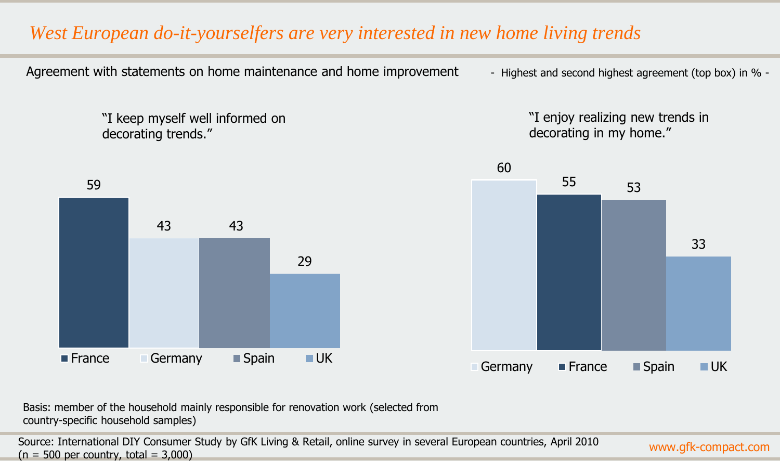#### *West European do-it-yourselfers are very interested in new home living trends*

Agreement with statements on home maintenance and home improvement - Highest and second highest agreement (top box) in % -

"I keep myself well informed on decorating trends."

"I enjoy realizing new trends in decorating in my home."





Basis: member of the household mainly responsible for renovation work (selected from country-specific household samples)

Source: International DIY Consumer Study by GfK Living & Retail, online survey in several European countries, April 2010  $(n = 500$  per country, total = 3,000)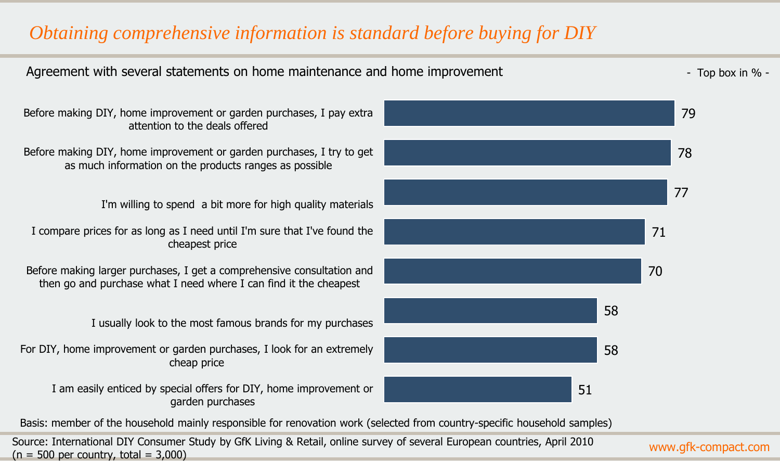### *Obtaining comprehensive information is standard before buying for DIY*



Source: International DIY Consumer Study by GfK Living & Retail, online survey of several European countries, April 2010  $(n = 500$  per country, total = 3,000)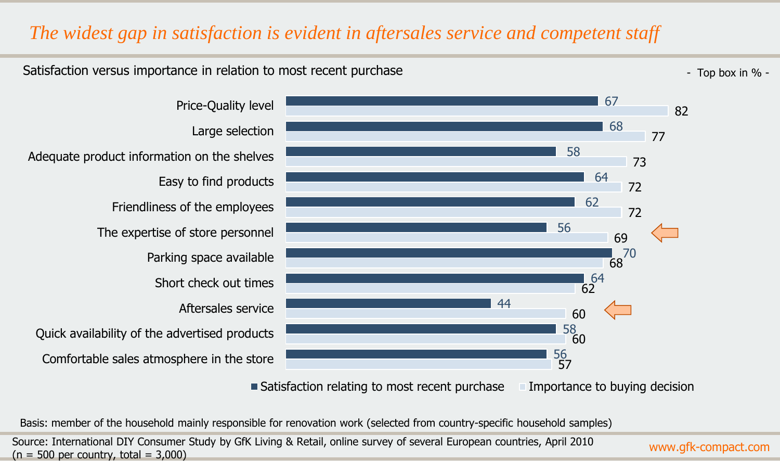### *The widest gap in satisfaction is evident in aftersales service and competent staff*

#### Satisfaction versus importance in relation to most recent purchase  $\sim$  The set of the set of the set of the set of the set of the set of the set of the set of the set of the set of the set of the set of the set of the set

Aftersales service

Short check out times

Parking space available

Easy to find products

Large selection

Price-Quality level

The expertise of store personnel

Friendliness of the employees

Comfortable sales atmosphere in the store

Quick availability of the advertised products

Adequate product information on the shelves

57 60 60 62 68 69 72 72 73 77 82 56 58 44 64 70 56 62 64 58 68 67

■ Satisfaction relating to most recent purchase Importance to buying decision

Basis: member of the household mainly responsible for renovation work (selected from country-specific household samples)

Source: International DIY Consumer Study by GfK Living & Retail, online survey of several European countries, April 2010  $(n = 500$  per country, total = 3,000)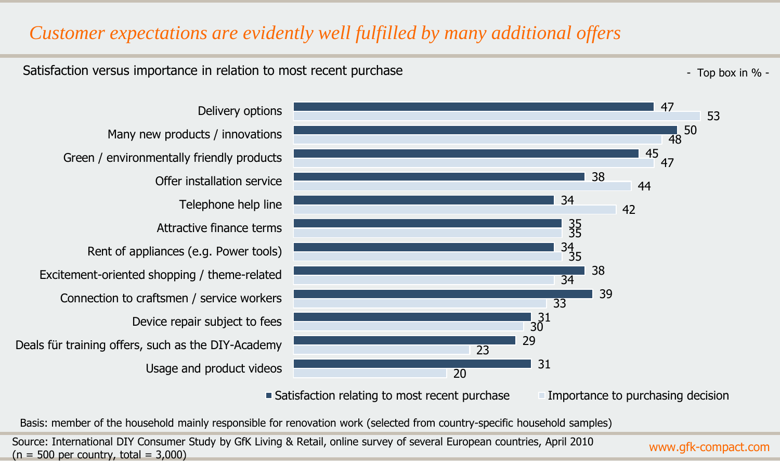#### *Customer expectations are evidently well fulfilled by many additional offers*

#### Satisfaction versus importance in relation to most recent purchase  $\sim$  The set of the set of the set of the set of the set of the set of the set of the set of the set of the set of the set of the set of the set of the set

Usage and product videos Deals für training offers, such as the DIY-Academy Device repair subject to fees Connection to craftsmen / service workers Excitement-oriented shopping / theme-related Rent of appliances (e.g. Power tools) Attractive finance terms Telephone help line Offer installation service Green / environmentally friendly products Many new products / innovations Delivery options



 $\blacksquare$  Satisfaction relating to most recent purchase  $\blacksquare$  Importance to purchasing decision

Basis: member of the household mainly responsible for renovation work (selected from country-specific household samples)

Source: International DIY Consumer Study by GfK Living & Retail, online survey of several European countries, April 2010  $(n = 500$  per country, total = 3,000)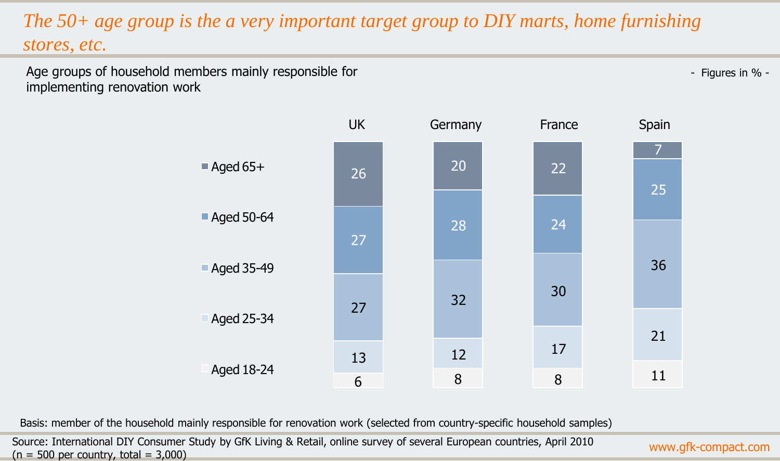# *The 50+ age group is the a very important target group to DIY marts, home furnishing stores, etc.*

Age groups of household members mainly responsible for implementing renovation work

- Figures in % -



Basis: member of the household mainly responsible for renovation work (selected from country-specific household samples)

Source: International DIY Consumer Study by GfK Living & Retail, online survey of several European countries, April 2010  $(n = 500$  per country, total = 3,000)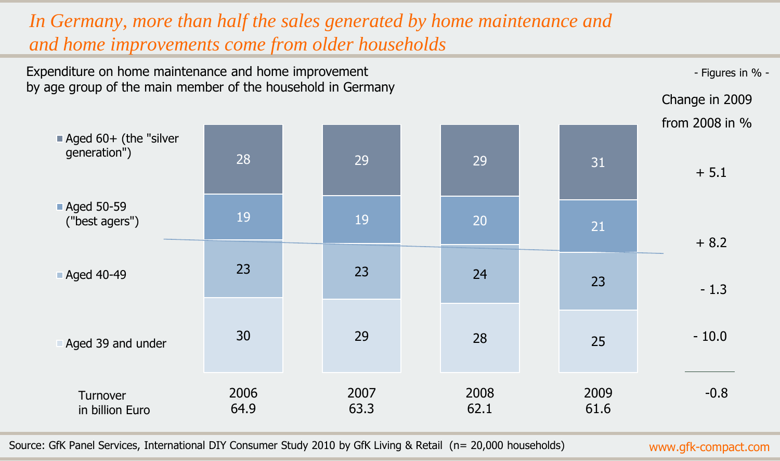## *In Germany, more than half the sales generated by home maintenance and and home improvements come from older households*



Source: GfK Panel Services, International DIY Consumer Study 2010 by GfK Living & Retail (n= 20,000 households)